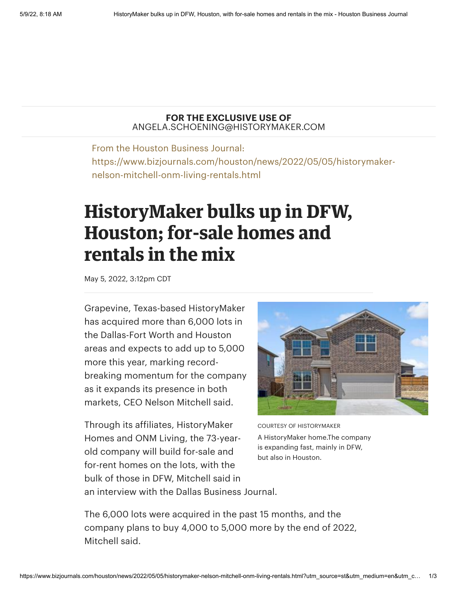## **FOR THE EXCLUSIVE USE OF** ANGELA.SCHOENING@HISTORYMAKER.COM

From the Houston Business Journal: https://www.bizjournals.com/houston/news/2022/05/05/historymakernelson-mitchell-onm-living-rentals.html

## **HistoryMaker bulks up in DFW, Houston; for-sale homes and rentals in the mix**

May 5, 2022, 3:12pm CDT

Grapevine, Texas-based HistoryMaker has acquired more than 6,000 lots in the Dallas-Fort Worth and Houston areas and expects to add up to 5,000 more this year, marking recordbreaking momentum for the company as it expands its presence in both markets, CEO Nelson [Mitchell](https://www.bizjournals.com/houston/search/results?q=Nelson%20Mitchell) said.

Through its affiliates, HistoryMaker Homes and ONM Living, the 73-yearold company will build for-sale and for-rent homes on the lots, with the bulk of those in DFW, Mitchell said in



COURTESY OF HISTORYMAKER A HistoryMaker home.The company is expanding fast, mainly in DFW, but also in Houston.

an interview with the Dallas Business Journal.

The 6,000 lots were acquired in the past 15 months, and the company plans to buy 4,000 to 5,000 more by the end of 2022, Mitchell said.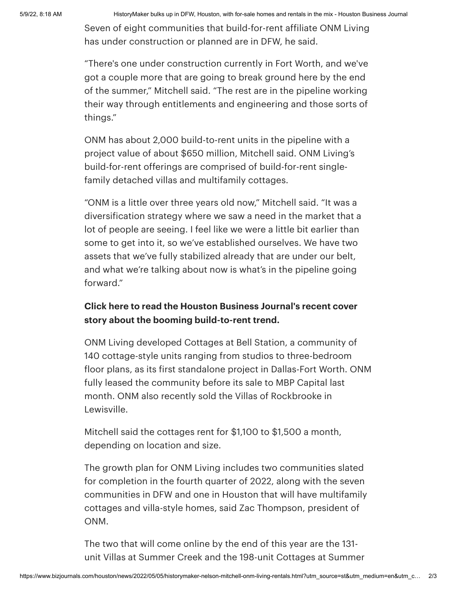5/9/22, 8:18 AM HistoryMaker bulks up in DFW, Houston, with for-sale homes and rentals in the mix - Houston Business Journal

Seven of eight communities that build-for-rent affiliate ONM Living has under construction or planned are in DFW, he said.

"There's one under construction currently in Fort Worth, and we've got a couple more that are going to break ground here by the end of the summer," Mitchell said. "The rest are in the pipeline working their way through entitlements and engineering and those sorts of things."

ONM has about 2,000 build-to-rent units in the pipeline with a project value of about \$650 million, Mitchell said. ONM Living's build-for-rent offerings are comprised of build-for-rent singlefamily detached villas and multifamily cottages.

"ONM is a little over three years old now," Mitchell said. "It was a diversification strategy where we saw a need in the market that a lot of people are seeing. I feel like we were a little bit earlier than some to get into it, so we've established ourselves. We have two assets that we've fully stabilized already that are under our belt, and what we're talking about now is what's in the pipeline going forward."

## **Click here to read the Houston Business Journal's recent cover story about the booming [build-to-rent](https://www.bizjournals.com/houston/news/2022/03/25/houston-build-to-rent-cover-story.html) trend.**

ONM Living developed Cottages at Bell Station, a community of 140 cottage-style units ranging from studios to three-bedroom floor plans, as its first standalone project in Dallas-Fort Worth. ONM fully leased the community before its sale to MBP Capital last month. ONM also recently sold the Villas of Rockbrooke in Lewisville.

Mitchell said the cottages rent for \$1,100 to \$1,500 a month, depending on location and size.

The growth plan for ONM Living includes two communities slated for completion in the fourth quarter of 2022, along with the seven communities in DFW and one in Houston that will have multifamily cottages and villa-style homes, said Zac [Thompson,](https://www.bizjournals.com/houston/search/results?q=Zac%20Thompson) president of ONM.

The two that will come online by the end of this year are the 131 unit Villas at Summer Creek and the 198-unit Cottages at Summer